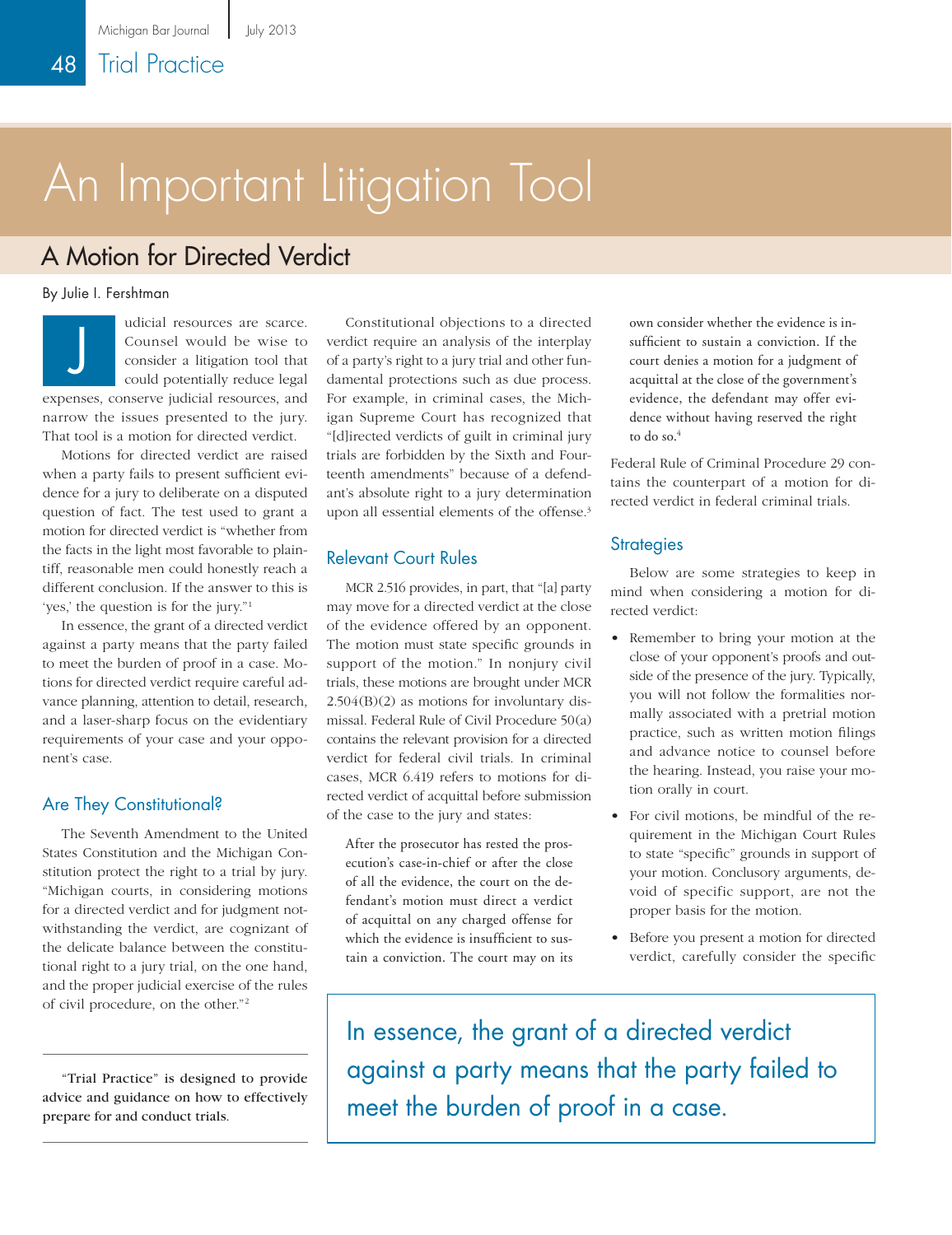# An Important Litigation Tool

# A Motion for Directed Verdict

By Julie I. Fershtman

udicial resources are scarce. Counsel would be wise to consider a litigation tool that could potentially reduce legal expenses, conserve judicial resources, and narrow the issues presented to the jury. That tool is a motion for directed verdict. J

Motions for directed verdict are raised when a party fails to present sufficient evidence for a jury to deliberate on a disputed question of fact. The test used to grant a motion for directed verdict is "whether from the facts in the light most favorable to plaintiff, reasonable men could honestly reach a different conclusion. If the answer to this is 'yes,' the question is for the jury."1

In essence, the grant of a directed verdict against a party means that the party failed to meet the burden of proof in a case. Motions for directed verdict require careful advance planning, attention to detail, research, and a laser-sharp focus on the evidentiary requirements of your case and your opponent's case.

## Are They Constitutional?

The Seventh Amendment to the United States Constitution and the Michigan Constitution protect the right to a trial by jury. "Michigan courts, in considering motions for a directed verdict and for judgment notwithstanding the verdict, are cognizant of the delicate balance between the constitutional right to a jury trial, on the one hand, and the proper judicial exercise of the rules of civil procedure, on the other."2

"Trial Practice" is designed to provide advice and guidance on how to effectively prepare for and conduct trials.

Constitutional objections to a directed verdict require an analysis of the interplay of a party's right to a jury trial and other fundamental protections such as due process. For example, in criminal cases, the Michigan Supreme Court has recognized that "[d]irected verdicts of guilt in criminal jury trials are forbidden by the Sixth and Fourteenth amendments" because of a defendant's absolute right to a jury determination upon all essential elements of the offense.<sup>3</sup>

## Relevant Court Rules

MCR 2.516 provides, in part, that "[a] party may move for a directed verdict at the close of the evidence offered by an opponent. The motion must state specific grounds in support of the motion." In nonjury civil trials, these motions are brought under MCR 2.504(B)(2) as motions for involuntary dismissal. Federal Rule of Civil Procedure 50(a) contains the relevant provision for a directed verdict for federal civil trials. In criminal cases, MCR 6.419 refers to motions for directed verdict of acquittal before submission of the case to the jury and states:

After the prosecutor has rested the prosecution's case-in-chief or after the close of all the evidence, the court on the defendant's motion must direct a verdict of acquittal on any charged offense for which the evidence is insufficient to sustain a conviction. The court may on its own consider whether the evidence is insufficient to sustain a conviction. If the court denies a motion for a judgment of acquittal at the close of the government's evidence, the defendant may offer evidence without having reserved the right to do so.<sup>4</sup>

Federal Rule of Criminal Procedure 29 contains the counterpart of a motion for directed verdict in federal criminal trials.

#### **Strategies**

Below are some strategies to keep in mind when considering a motion for directed verdict:

- Remember to bring your motion at the close of your opponent's proofs and outside of the presence of the jury. Typically, you will not follow the formalities normally associated with a pretrial motion practice, such as written motion filings and advance notice to counsel before the hearing. Instead, you raise your motion orally in court.
- For civil motions, be mindful of the requirement in the Michigan Court Rules to state "specific" grounds in support of your motion. Conclusory arguments, devoid of specific support, are not the proper basis for the motion.
- Before you present a motion for directed verdict, carefully consider the specific

In essence, the grant of a directed verdict against a party means that the party failed to meet the burden of proof in a case.